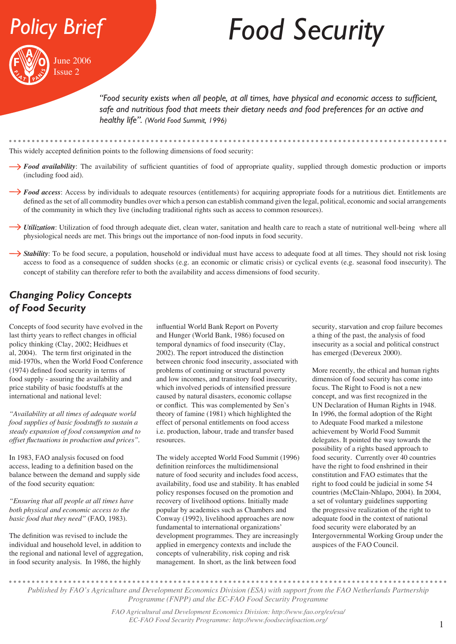



# *Food Security*

*"Food security exists when all people, at all times, have physical and economic access to sufficient,*  safe and nutritious food that meets their dietary needs and food preferences for an active and *healthy life". (World Food Summit, 1996)*

This widely accepted definition points to the following dimensions of food security:

- **Food availability**: The availability of sufficient quantities of food of appropriate quality, supplied through domestic production or imports (including food aid).
- **Food access:** Access by individuals to adequate resources (entitlements) for acquiring appropriate foods for a nutritious diet. Entitlements are defined as the set of all commodity bundles over which a person can establish command given the legal, political, economic and social arrangements of the community in which they live (including traditional rights such as access to common resources).
- **I**Utilization: Utilization of food through adequate diet, clean water, sanitation and health care to reach a state of nutritional well-being where all physiological needs are met. This brings out the importance of non-food inputs in food security.
- **Stability**: To be food secure, a population, household or individual must have access to adequate food at all times. They should not risk losing access to food as a consequence of sudden shocks (e.g. an economic or climatic crisis) or cyclical events (e.g. seasonal food insecurity). The concept of stability can therefore refer to both the availability and access dimensions of food security.

#### *Changing Policy Concepts of Food Security*

Concepts of food security have evolved in the last thirty years to reflect changes in official policy thinking (Clay, 2002; Heidhues et al, 2004). The term first originated in the mid-1970s, when the World Food Conference (1974) defined food security in terms of food supply - assuring the availability and price stability of basic foodstuffs at the international and national level:

*"Availability at all times of adequate world food supplies of basic foodstuffs to sustain a steady expansion of food consumption and to offset fluctuations in production and prices".*

In 1983, FAO analysis focused on food access, leading to a definition based on the balance between the demand and supply side of the food security equation:

*"Ensuring that all people at all times have both physical and economic access to the basic food that they need"* (FAO, 1983).

The definition was revised to include the individual and household level, in addition to the regional and national level of aggregation, in food security analysis. In 1986, the highly

influential World Bank Report on Poverty and Hunger (World Bank, 1986) focused on temporal dynamics of food insecurity (Clay, 2002). The report introduced the distinction between chronic food insecurity, associated with problems of continuing or structural poverty and low incomes, and transitory food insecurity, which involved periods of intensified pressure caused by natural disasters, economic collapse or conflict. This was complemented by Sen's theory of famine (1981) which highlighted the effect of personal entitlements on food access i.e. production, labour, trade and transfer based resources.

The widely accepted World Food Summit (1996) definition reinforces the multidimensional nature of food security and includes food access, availability, food use and stability. It has enabled policy responses focused on the promotion and recovery of livelihood options. Initially made popular by academics such as Chambers and Conway (1992), livelihood approaches are now fundamental to international organizations' development programmes. They are increasingly applied in emergency contexts and include the concepts of vulnerability, risk coping and risk management. In short, as the link between food

security, starvation and crop failure becomes a thing of the past, the analysis of food insecurity as a social and political construct has emerged (Devereux 2000).

More recently, the ethical and human rights dimension of food security has come into focus. The Right to Food is not a new concept, and was first recognized in the UN Declaration of Human Rights in 1948. In 1996, the formal adoption of the Right to Adequate Food marked a milestone achievement by World Food Summit delegates. It pointed the way towards the possibility of a rights based approach to food security. Currently over 40 countries have the right to food enshrined in their constitution and FAO estimates that the right to food could be judicial in some 54 countries (McClain-Nhlapo, 2004). In 2004, a set of voluntary guidelines supporting the progressive realization of the right to adequate food in the context of national food security were elaborated by an Intergovernmental Working Group under the auspices of the FAO Council.

*Published by FAO's Agriculture and Development Economics Division (ESA) with support from the FAO Netherlands Partnership Programme (FNPP) and the EC-FAO Food Security Programme*

> *FAO Agricultural and Development Economics Division: http://www.fao.org/es/esa/ EC-FAO Food Security Programme: http://www.foodsecinfoaction.org/*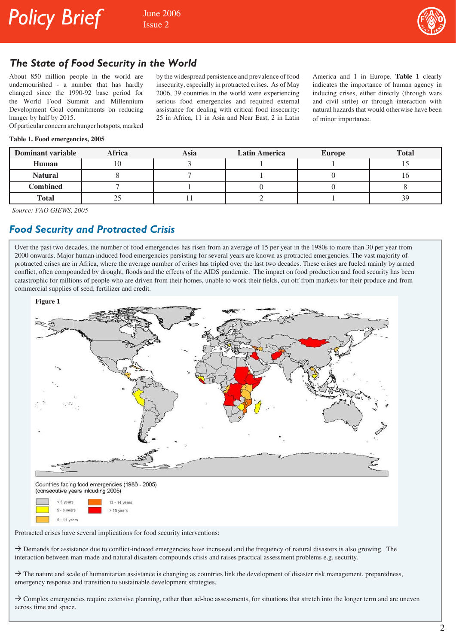



#### *The State of Food Security in the World*

About 850 million people in the world are undernourished - a number that has hardly changed since the 1990-92 base period for the World Food Summit and Millennium Development Goal commitments on reducing hunger by half by 2015.

by the widespread persistence and prevalence of food insecurity, especially in protracted crises. As of May 2006, 39 countries in the world were experiencing serious food emergencies and required external assistance for dealing with critical food insecurity: 25 in Africa, 11 in Asia and Near East, 2 in Latin

America and 1 in Europe. **Table 1** clearly indicates the importance of human agency in inducing crises, either directly (through wars and civil strife) or through interaction with natural hazards that would otherwise have been of minor importance.

Of particular concern are hunger hotspots, marked

#### **Table 1. Food emergencies, 2005**

| Dominant variable | <b>Africa</b> | Asia | <b>Latin America</b> | <b>Europe</b> | <b>Total</b> |
|-------------------|---------------|------|----------------------|---------------|--------------|
| Human             |               |      |                      |               |              |
| <b>Natural</b>    |               |      |                      |               |              |
| Combined          |               |      |                      |               |              |
| <b>Total</b>      | رے            |      |                      |               | 39           |

*Source: FAO GIEWS, 2005* 

#### *Food Security and Protracted Crisis*

Over the past two decades, the number of food emergencies has risen from an average of 15 per year in the 1980s to more than 30 per year from 2000 onwards. Major human induced food emergencies persisting for several years are known as protracted emergencies. The vast majority of protracted crises are in Africa, where the average number of crises has tripled over the last two decades. These crises are fueled mainly by armed conflict, often compounded by drought, floods and the effects of the AIDS pandemic. The impact on food production and food security has been catastrophic for millions of people who are driven from their homes, unable to work their fields, cut off from markets for their produce and from commercial supplies of seed, fertilizer and credit.



Protracted crises have several implications for food security interventions:

 $\rightarrow$  Demands for assistance due to conflict-induced emergencies have increased and the frequency of natural disasters is also growing. The interaction between man-made and natural disasters compounds crisis and raises practical assessment problems e.g. security.

 $\rightarrow$  The nature and scale of humanitarian assistance is changing as countries link the development of disaster risk management, preparedness, emergency response and transition to sustainable development strategies.

 $\rightarrow$  Complex emergencies require extensive planning, rather than ad-hoc assessments, for situations that stretch into the longer term and are uneven across time and space.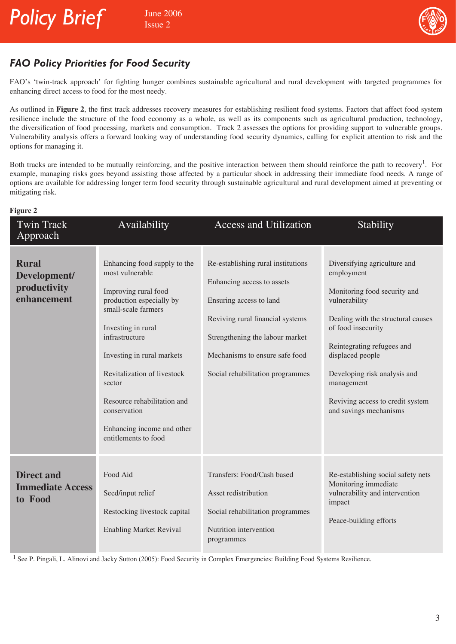

### *FAO Policy Priorities for Food Security*

FAO's 'twin-track approach' for fighting hunger combines sustainable agricultural and rural development with targeted programmes for enhancing direct access to food for the most needy.

As outlined in **Figure 2**, the first track addresses recovery measures for establishing resilient food systems. Factors that affect food system resilience include the structure of the food economy as a whole, as well as its components such as agricultural production, technology, the diversification of food processing, markets and consumption. Track 2 assesses the options for providing support to vulnerable groups. Vulnerability analysis offers a forward looking way of understanding food security dynamics, calling for explicit attention to risk and the options for managing it.

Both tracks are intended to be mutually reinforcing, and the positive interaction between them should reinforce the path to recovery<sup>1</sup>. For example, managing risks goes beyond assisting those affected by a particular shock in addressing their immediate food needs. A range of options are available for addressing longer term food security through sustainable agricultural and rural development aimed at preventing or mitigating risk.

| and the state of the state of the state of the state of the state of the state of the state of the state of th |
|----------------------------------------------------------------------------------------------------------------|
|----------------------------------------------------------------------------------------------------------------|

| <b>Twin Track</b>                                           | Availability                                                                                                                                                                                                                                                                                                                                   | <b>Access and Utilization</b>                                                                                                                                                                                                            | Stability                                                                                                                                                                                                                                                                                                             |
|-------------------------------------------------------------|------------------------------------------------------------------------------------------------------------------------------------------------------------------------------------------------------------------------------------------------------------------------------------------------------------------------------------------------|------------------------------------------------------------------------------------------------------------------------------------------------------------------------------------------------------------------------------------------|-----------------------------------------------------------------------------------------------------------------------------------------------------------------------------------------------------------------------------------------------------------------------------------------------------------------------|
| Approach                                                    |                                                                                                                                                                                                                                                                                                                                                |                                                                                                                                                                                                                                          |                                                                                                                                                                                                                                                                                                                       |
| <b>Rural</b><br>Development/<br>productivity<br>enhancement | Enhancing food supply to the<br>most vulnerable<br>Improving rural food<br>production especially by<br>small-scale farmers<br>Investing in rural<br>infrastructure<br>Investing in rural markets<br>Revitalization of livestock<br>sector<br>Resource rehabilitation and<br>conservation<br>Enhancing income and other<br>entitlements to food | Re-establishing rural institutions<br>Enhancing access to assets<br>Ensuring access to land<br>Reviving rural financial systems<br>Strengthening the labour market<br>Mechanisms to ensure safe food<br>Social rehabilitation programmes | Diversifying agriculture and<br>employment<br>Monitoring food security and<br>vulnerability<br>Dealing with the structural causes<br>of food insecurity<br>Reintegrating refugees and<br>displaced people<br>Developing risk analysis and<br>management<br>Reviving access to credit system<br>and savings mechanisms |
| <b>Direct and</b><br><b>Immediate Access</b><br>to Food     | Food Aid<br>Seed/input relief<br>Restocking livestock capital<br><b>Enabling Market Revival</b>                                                                                                                                                                                                                                                | Transfers: Food/Cash based<br>Asset redistribution<br>Social rehabilitation programmes<br>Nutrition intervention<br>programmes                                                                                                           | Re-establishing social safety nets<br>Monitoring immediate<br>vulnerability and intervention<br>impact<br>Peace-building efforts                                                                                                                                                                                      |

<sup>1</sup> See P. Pingali, L. Alinovi and Jacky Sutton (2005): Food Security in Complex Emergencies: Building Food Systems Resilience.